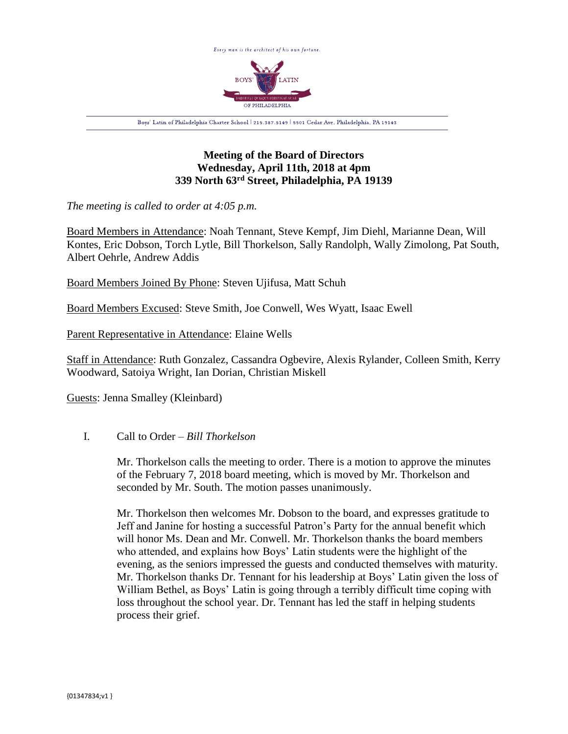

# **Meeting of the Board of Directors Wednesday, April 11th, 2018 at 4pm 339 North 63rd Street, Philadelphia, PA 19139**

*The meeting is called to order at 4:05 p.m.*

Board Members in Attendance: Noah Tennant, Steve Kempf, Jim Diehl, Marianne Dean, Will Kontes, Eric Dobson, Torch Lytle, Bill Thorkelson, Sally Randolph, Wally Zimolong, Pat South, Albert Oehrle, Andrew Addis

Board Members Joined By Phone: Steven Ujifusa, Matt Schuh

Board Members Excused: Steve Smith, Joe Conwell, Wes Wyatt, Isaac Ewell

Parent Representative in Attendance: Elaine Wells

Staff in Attendance: Ruth Gonzalez, Cassandra Ogbevire, Alexis Rylander, Colleen Smith, Kerry Woodward, Satoiya Wright, Ian Dorian, Christian Miskell

Guests: Jenna Smalley (Kleinbard)

## I. Call to Order – *Bill Thorkelson*

Mr. Thorkelson calls the meeting to order. There is a motion to approve the minutes of the February 7, 2018 board meeting, which is moved by Mr. Thorkelson and seconded by Mr. South. The motion passes unanimously.

Mr. Thorkelson then welcomes Mr. Dobson to the board, and expresses gratitude to Jeff and Janine for hosting a successful Patron's Party for the annual benefit which will honor Ms. Dean and Mr. Conwell. Mr. Thorkelson thanks the board members who attended, and explains how Boys' Latin students were the highlight of the evening, as the seniors impressed the guests and conducted themselves with maturity. Mr. Thorkelson thanks Dr. Tennant for his leadership at Boys' Latin given the loss of William Bethel, as Boys' Latin is going through a terribly difficult time coping with loss throughout the school year. Dr. Tennant has led the staff in helping students process their grief.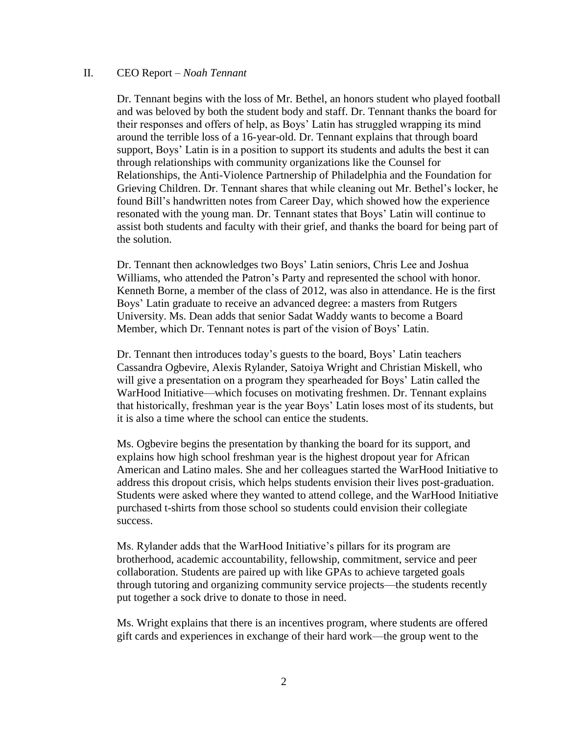#### II. CEO Report – *Noah Tennant*

Dr. Tennant begins with the loss of Mr. Bethel, an honors student who played football and was beloved by both the student body and staff. Dr. Tennant thanks the board for their responses and offers of help, as Boys' Latin has struggled wrapping its mind around the terrible loss of a 16-year-old. Dr. Tennant explains that through board support, Boys' Latin is in a position to support its students and adults the best it can through relationships with community organizations like the Counsel for Relationships, the Anti-Violence Partnership of Philadelphia and the Foundation for Grieving Children. Dr. Tennant shares that while cleaning out Mr. Bethel's locker, he found Bill's handwritten notes from Career Day, which showed how the experience resonated with the young man. Dr. Tennant states that Boys' Latin will continue to assist both students and faculty with their grief, and thanks the board for being part of the solution.

Dr. Tennant then acknowledges two Boys' Latin seniors, Chris Lee and Joshua Williams, who attended the Patron's Party and represented the school with honor. Kenneth Borne, a member of the class of 2012, was also in attendance. He is the first Boys' Latin graduate to receive an advanced degree: a masters from Rutgers University. Ms. Dean adds that senior Sadat Waddy wants to become a Board Member, which Dr. Tennant notes is part of the vision of Boys' Latin.

Dr. Tennant then introduces today's guests to the board, Boys' Latin teachers Cassandra Ogbevire, Alexis Rylander, Satoiya Wright and Christian Miskell, who will give a presentation on a program they spearheaded for Boys' Latin called the WarHood Initiative—which focuses on motivating freshmen. Dr. Tennant explains that historically, freshman year is the year Boys' Latin loses most of its students, but it is also a time where the school can entice the students.

Ms. Ogbevire begins the presentation by thanking the board for its support, and explains how high school freshman year is the highest dropout year for African American and Latino males. She and her colleagues started the WarHood Initiative to address this dropout crisis, which helps students envision their lives post-graduation. Students were asked where they wanted to attend college, and the WarHood Initiative purchased t-shirts from those school so students could envision their collegiate success.

Ms. Rylander adds that the WarHood Initiative's pillars for its program are brotherhood, academic accountability, fellowship, commitment, service and peer collaboration. Students are paired up with like GPAs to achieve targeted goals through tutoring and organizing community service projects—the students recently put together a sock drive to donate to those in need.

Ms. Wright explains that there is an incentives program, where students are offered gift cards and experiences in exchange of their hard work—the group went to the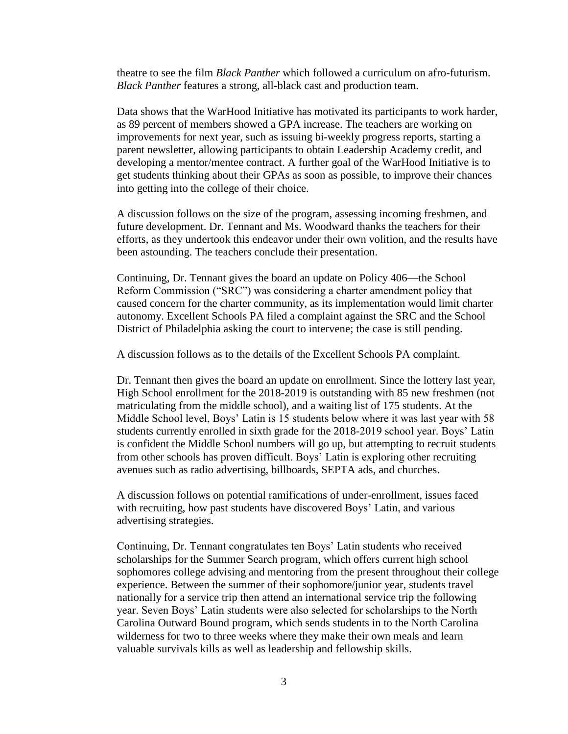theatre to see the film *Black Panther* which followed a curriculum on afro-futurism. *Black Panther* features a strong, all-black cast and production team.

Data shows that the WarHood Initiative has motivated its participants to work harder, as 89 percent of members showed a GPA increase. The teachers are working on improvements for next year, such as issuing bi-weekly progress reports, starting a parent newsletter, allowing participants to obtain Leadership Academy credit, and developing a mentor/mentee contract. A further goal of the WarHood Initiative is to get students thinking about their GPAs as soon as possible, to improve their chances into getting into the college of their choice.

A discussion follows on the size of the program, assessing incoming freshmen, and future development. Dr. Tennant and Ms. Woodward thanks the teachers for their efforts, as they undertook this endeavor under their own volition, and the results have been astounding. The teachers conclude their presentation.

Continuing, Dr. Tennant gives the board an update on Policy 406—the School Reform Commission ("SRC") was considering a charter amendment policy that caused concern for the charter community, as its implementation would limit charter autonomy. Excellent Schools PA filed a complaint against the SRC and the School District of Philadelphia asking the court to intervene; the case is still pending.

A discussion follows as to the details of the Excellent Schools PA complaint.

Dr. Tennant then gives the board an update on enrollment. Since the lottery last year, High School enrollment for the 2018-2019 is outstanding with 85 new freshmen (not matriculating from the middle school), and a waiting list of 175 students. At the Middle School level, Boys' Latin is 15 students below where it was last year with 58 students currently enrolled in sixth grade for the 2018-2019 school year. Boys' Latin is confident the Middle School numbers will go up, but attempting to recruit students from other schools has proven difficult. Boys' Latin is exploring other recruiting avenues such as radio advertising, billboards, SEPTA ads, and churches.

A discussion follows on potential ramifications of under-enrollment, issues faced with recruiting, how past students have discovered Boys' Latin, and various advertising strategies.

Continuing, Dr. Tennant congratulates ten Boys' Latin students who received scholarships for the Summer Search program, which offers current high school sophomores college advising and mentoring from the present throughout their college experience. Between the summer of their sophomore/junior year, students travel nationally for a service trip then attend an international service trip the following year. Seven Boys' Latin students were also selected for scholarships to the North Carolina Outward Bound program, which sends students in to the North Carolina wilderness for two to three weeks where they make their own meals and learn valuable survivals kills as well as leadership and fellowship skills.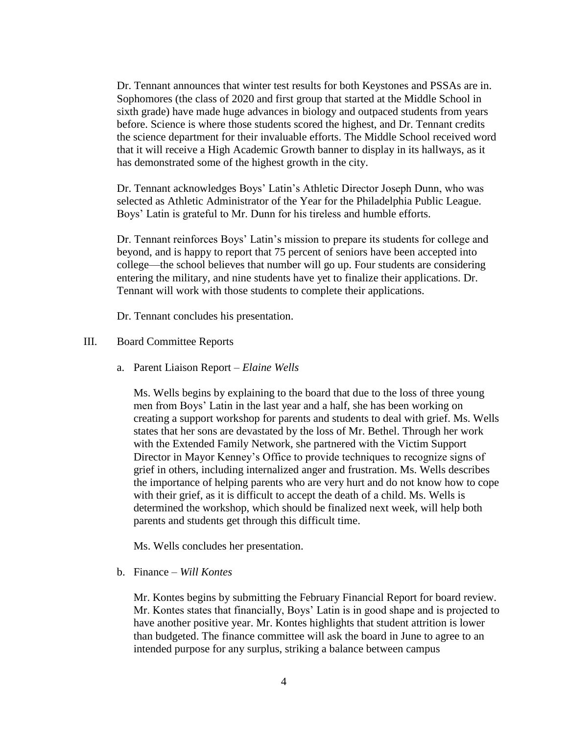Dr. Tennant announces that winter test results for both Keystones and PSSAs are in. Sophomores (the class of 2020 and first group that started at the Middle School in sixth grade) have made huge advances in biology and outpaced students from years before. Science is where those students scored the highest, and Dr. Tennant credits the science department for their invaluable efforts. The Middle School received word that it will receive a High Academic Growth banner to display in its hallways, as it has demonstrated some of the highest growth in the city.

Dr. Tennant acknowledges Boys' Latin's Athletic Director Joseph Dunn, who was selected as Athletic Administrator of the Year for the Philadelphia Public League. Boys' Latin is grateful to Mr. Dunn for his tireless and humble efforts.

Dr. Tennant reinforces Boys' Latin's mission to prepare its students for college and beyond, and is happy to report that 75 percent of seniors have been accepted into college—the school believes that number will go up. Four students are considering entering the military, and nine students have yet to finalize their applications. Dr. Tennant will work with those students to complete their applications.

Dr. Tennant concludes his presentation.

- III. Board Committee Reports
	- a. Parent Liaison Report *Elaine Wells*

Ms. Wells begins by explaining to the board that due to the loss of three young men from Boys' Latin in the last year and a half, she has been working on creating a support workshop for parents and students to deal with grief. Ms. Wells states that her sons are devastated by the loss of Mr. Bethel. Through her work with the Extended Family Network, she partnered with the Victim Support Director in Mayor Kenney's Office to provide techniques to recognize signs of grief in others, including internalized anger and frustration. Ms. Wells describes the importance of helping parents who are very hurt and do not know how to cope with their grief, as it is difficult to accept the death of a child. Ms. Wells is determined the workshop, which should be finalized next week, will help both parents and students get through this difficult time.

Ms. Wells concludes her presentation.

b. Finance – *Will Kontes*

Mr. Kontes begins by submitting the February Financial Report for board review. Mr. Kontes states that financially, Boys' Latin is in good shape and is projected to have another positive year. Mr. Kontes highlights that student attrition is lower than budgeted. The finance committee will ask the board in June to agree to an intended purpose for any surplus, striking a balance between campus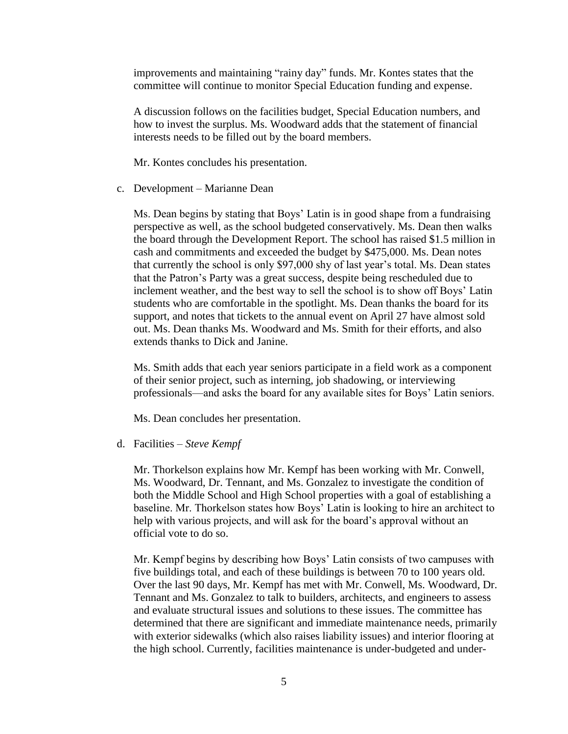improvements and maintaining "rainy day" funds. Mr. Kontes states that the committee will continue to monitor Special Education funding and expense.

A discussion follows on the facilities budget, Special Education numbers, and how to invest the surplus. Ms. Woodward adds that the statement of financial interests needs to be filled out by the board members.

Mr. Kontes concludes his presentation.

c. Development – Marianne Dean

Ms. Dean begins by stating that Boys' Latin is in good shape from a fundraising perspective as well, as the school budgeted conservatively. Ms. Dean then walks the board through the Development Report. The school has raised \$1.5 million in cash and commitments and exceeded the budget by \$475,000. Ms. Dean notes that currently the school is only \$97,000 shy of last year's total. Ms. Dean states that the Patron's Party was a great success, despite being rescheduled due to inclement weather, and the best way to sell the school is to show off Boys' Latin students who are comfortable in the spotlight. Ms. Dean thanks the board for its support, and notes that tickets to the annual event on April 27 have almost sold out. Ms. Dean thanks Ms. Woodward and Ms. Smith for their efforts, and also extends thanks to Dick and Janine.

Ms. Smith adds that each year seniors participate in a field work as a component of their senior project, such as interning, job shadowing, or interviewing professionals—and asks the board for any available sites for Boys' Latin seniors.

Ms. Dean concludes her presentation.

d. Facilities – *Steve Kempf*

Mr. Thorkelson explains how Mr. Kempf has been working with Mr. Conwell, Ms. Woodward, Dr. Tennant, and Ms. Gonzalez to investigate the condition of both the Middle School and High School properties with a goal of establishing a baseline. Mr. Thorkelson states how Boys' Latin is looking to hire an architect to help with various projects, and will ask for the board's approval without an official vote to do so.

Mr. Kempf begins by describing how Boys' Latin consists of two campuses with five buildings total, and each of these buildings is between 70 to 100 years old. Over the last 90 days, Mr. Kempf has met with Mr. Conwell, Ms. Woodward, Dr. Tennant and Ms. Gonzalez to talk to builders, architects, and engineers to assess and evaluate structural issues and solutions to these issues. The committee has determined that there are significant and immediate maintenance needs, primarily with exterior sidewalks (which also raises liability issues) and interior flooring at the high school. Currently, facilities maintenance is under-budgeted and under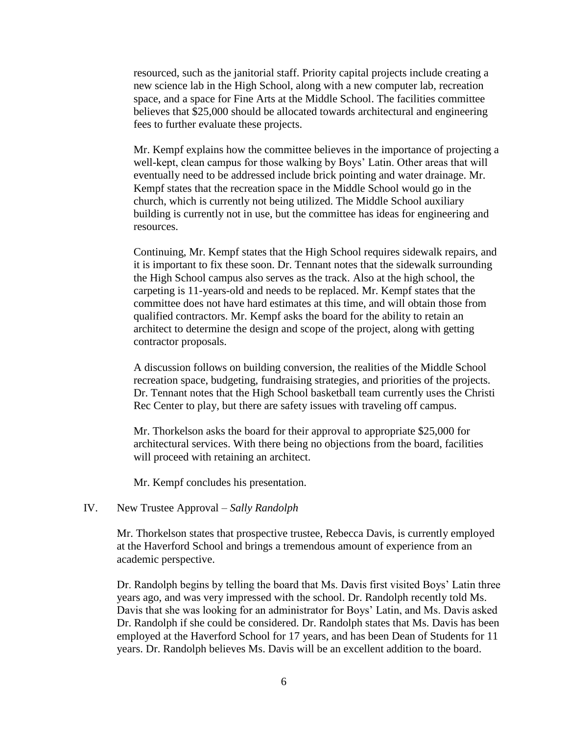resourced, such as the janitorial staff. Priority capital projects include creating a new science lab in the High School, along with a new computer lab, recreation space, and a space for Fine Arts at the Middle School. The facilities committee believes that \$25,000 should be allocated towards architectural and engineering fees to further evaluate these projects.

Mr. Kempf explains how the committee believes in the importance of projecting a well-kept, clean campus for those walking by Boys' Latin. Other areas that will eventually need to be addressed include brick pointing and water drainage. Mr. Kempf states that the recreation space in the Middle School would go in the church, which is currently not being utilized. The Middle School auxiliary building is currently not in use, but the committee has ideas for engineering and resources.

Continuing, Mr. Kempf states that the High School requires sidewalk repairs, and it is important to fix these soon. Dr. Tennant notes that the sidewalk surrounding the High School campus also serves as the track. Also at the high school, the carpeting is 11-years-old and needs to be replaced. Mr. Kempf states that the committee does not have hard estimates at this time, and will obtain those from qualified contractors. Mr. Kempf asks the board for the ability to retain an architect to determine the design and scope of the project, along with getting contractor proposals.

A discussion follows on building conversion, the realities of the Middle School recreation space, budgeting, fundraising strategies, and priorities of the projects. Dr. Tennant notes that the High School basketball team currently uses the Christi Rec Center to play, but there are safety issues with traveling off campus.

Mr. Thorkelson asks the board for their approval to appropriate \$25,000 for architectural services. With there being no objections from the board, facilities will proceed with retaining an architect.

Mr. Kempf concludes his presentation.

### IV. New Trustee Approval – *Sally Randolph*

Mr. Thorkelson states that prospective trustee, Rebecca Davis, is currently employed at the Haverford School and brings a tremendous amount of experience from an academic perspective.

Dr. Randolph begins by telling the board that Ms. Davis first visited Boys' Latin three years ago, and was very impressed with the school. Dr. Randolph recently told Ms. Davis that she was looking for an administrator for Boys' Latin, and Ms. Davis asked Dr. Randolph if she could be considered. Dr. Randolph states that Ms. Davis has been employed at the Haverford School for 17 years, and has been Dean of Students for 11 years. Dr. Randolph believes Ms. Davis will be an excellent addition to the board.